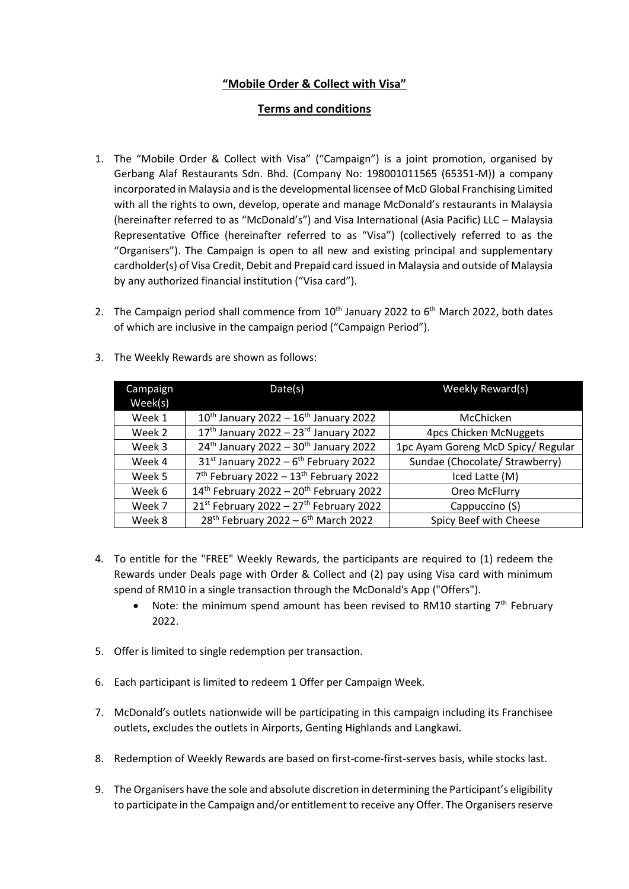## **"Mobile Order & Collect with Visa"**

## **Terms and conditions**

- 1. The "Mobile Order & Collect with Visa" ("Campaign") is a joint promotion, organised by Gerbang Alaf Restaurants Sdn. Bhd. (Company No: 198001011565 (65351-M)) a company incorporated in Malaysia and is the developmental licensee of McD Global Franchising Limited with all the rights to own, develop, operate and manage McDonald's restaurants in Malaysia (hereinafter referred to as "McDonald's") and Visa International (Asia Pacific) LLC – Malaysia Representative Office (hereinafter referred to as "Visa") (collectively referred to as the "Organisers"). The Campaign is open to all new and existing principal and supplementary cardholder(s) of Visa Credit, Debit and Prepaid card issued in Malaysia and outside of Malaysia by any authorized financial institution ("Visa card").
- 2. The Campaign period shall commence from  $10^{th}$  January 2022 to  $6^{th}$  March 2022, both dates of which are inclusive in the campaign period ("Campaign Period").

| Campaign<br>Week(s) | Date(s)                                                         | Weekly Reward(s)                   |
|---------------------|-----------------------------------------------------------------|------------------------------------|
| Week 1              | $10^{th}$ January 2022 – $16^{th}$ January 2022                 | McChicken                          |
| Week 2              | $17th$ January 2022 – 23 <sup>rd</sup> January 2022             | <b>4pcs Chicken McNuggets</b>      |
| Week 3              | $24th$ January 2022 – 30 <sup>th</sup> January 2022             | 1pc Ayam Goreng McD Spicy/ Regular |
| Week 4              | $31st$ January 2022 – 6 <sup>th</sup> February 2022             | Sundae (Chocolate/ Strawberry)     |
| Week 5              | 7 <sup>th</sup> February 2022 - 13 <sup>th</sup> February 2022  | Iced Latte (M)                     |
| Week 6              | $14^{\text{th}}$ February 2022 - 20 <sup>th</sup> February 2022 | Oreo McFlurry                      |
| Week 7              | $21^{st}$ February 2022 - $27^{th}$ February 2022               | Cappuccino (S)                     |
| Week 8              | $28^{th}$ February 2022 – 6 <sup>th</sup> March 2022            | Spicy Beef with Cheese             |

3. The Weekly Rewards are shown as follows:

- 4. To entitle for the "FREE" Weekly Rewards, the participants are required to (1) redeem the Rewards under Deals page with Order & Collect and (2) pay using Visa card with minimum spend of RM10 in a single transaction through the McDonald's App ("Offers").
	- Note: the minimum spend amount has been revised to RM10 starting  $7<sup>th</sup>$  February 2022.
- 5. Offer is limited to single redemption per transaction.
- 6. Each participant is limited to redeem 1 Offer per Campaign Week.
- 7. McDonald's outlets nationwide will be participating in this campaign including its Franchisee outlets, excludes the outlets in Airports, Genting Highlands and Langkawi.
- 8. Redemption of Weekly Rewards are based on first-come-first-serves basis, while stocks last.
- 9. The Organisers have the sole and absolute discretion in determining the Participant's eligibility to participate in the Campaign and/or entitlement to receive any Offer. The Organisers reserve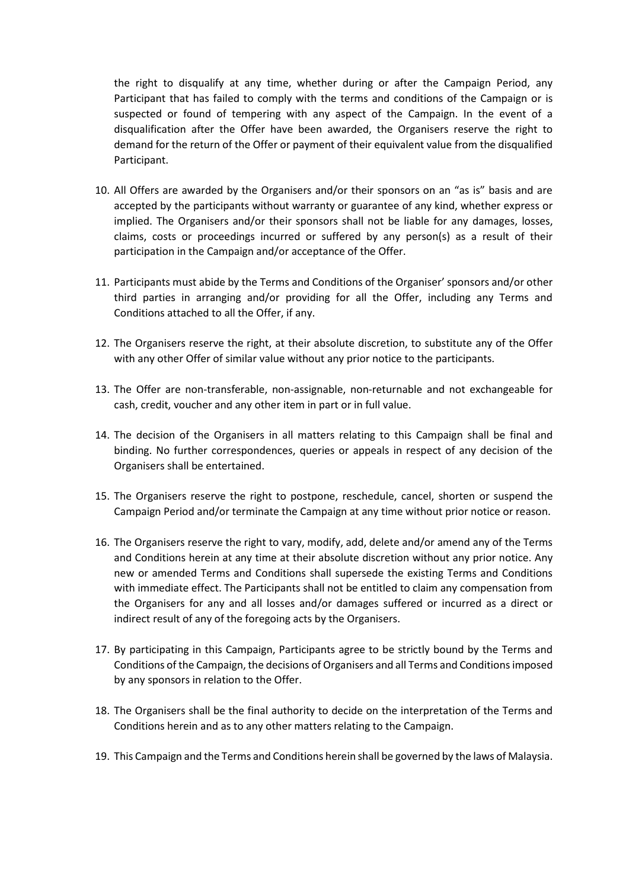the right to disqualify at any time, whether during or after the Campaign Period, any Participant that has failed to comply with the terms and conditions of the Campaign or is suspected or found of tempering with any aspect of the Campaign. In the event of a disqualification after the Offer have been awarded, the Organisers reserve the right to demand for the return of the Offer or payment of their equivalent value from the disqualified Participant.

- 10. All Offers are awarded by the Organisers and/or their sponsors on an "as is" basis and are accepted by the participants without warranty or guarantee of any kind, whether express or implied. The Organisers and/or their sponsors shall not be liable for any damages, losses, claims, costs or proceedings incurred or suffered by any person(s) as a result of their participation in the Campaign and/or acceptance of the Offer.
- 11. Participants must abide by the Terms and Conditions of the Organiser' sponsors and/or other third parties in arranging and/or providing for all the Offer, including any Terms and Conditions attached to all the Offer, if any.
- 12. The Organisers reserve the right, at their absolute discretion, to substitute any of the Offer with any other Offer of similar value without any prior notice to the participants.
- 13. The Offer are non-transferable, non-assignable, non-returnable and not exchangeable for cash, credit, voucher and any other item in part or in full value.
- 14. The decision of the Organisers in all matters relating to this Campaign shall be final and binding. No further correspondences, queries or appeals in respect of any decision of the Organisers shall be entertained.
- 15. The Organisers reserve the right to postpone, reschedule, cancel, shorten or suspend the Campaign Period and/or terminate the Campaign at any time without prior notice or reason.
- 16. The Organisers reserve the right to vary, modify, add, delete and/or amend any of the Terms and Conditions herein at any time at their absolute discretion without any prior notice. Any new or amended Terms and Conditions shall supersede the existing Terms and Conditions with immediate effect. The Participants shall not be entitled to claim any compensation from the Organisers for any and all losses and/or damages suffered or incurred as a direct or indirect result of any of the foregoing acts by the Organisers.
- 17. By participating in this Campaign, Participants agree to be strictly bound by the Terms and Conditions of the Campaign, the decisions of Organisers and all Terms and Conditions imposed by any sponsors in relation to the Offer.
- 18. The Organisers shall be the final authority to decide on the interpretation of the Terms and Conditions herein and as to any other matters relating to the Campaign.
- 19. This Campaign and the Terms and Conditions herein shall be governed by the laws of Malaysia.